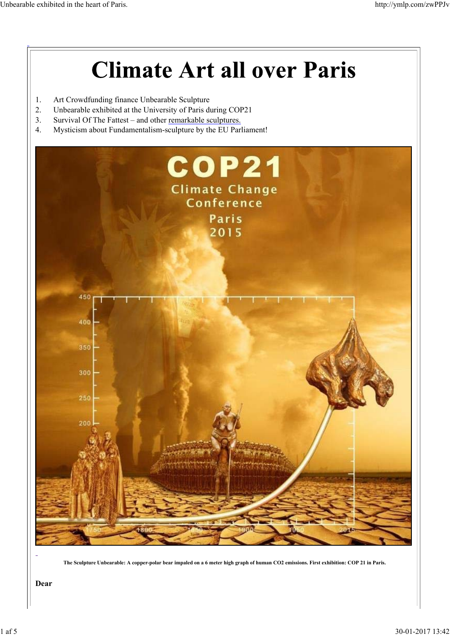# **Climate Art all over Paris**

- 1. Art Crowdfunding finance Unbearable Sculpture
- 2. Unbearable exhibited at the University of Paris during COP21
- 3. Survival Of The Fattest and other remarkable sculptures.
- 4. Mysticism about Fundamentalism-sculpture by the EU Parliament!



**The Sculpture Unbearable: A copper-polar bear impaled on a 6 meter high graph of human CO2 emissions. First exhibition: COP 21 in Paris.**

**Dear**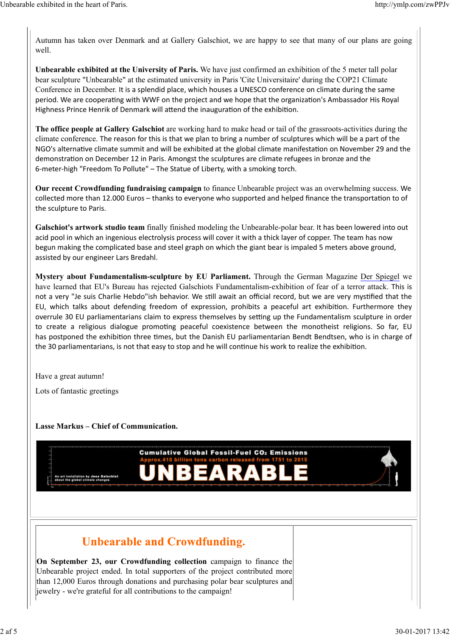Autumn has taken over Denmark and at Gallery Galschiot, we are happy to see that many of our plans are going well.

**Unbearable exhibited at the University of Paris.** We have just confirmed an exhibition of the 5 meter tall polar bear sculpture "Unbearable" at the estimated university in Paris 'Cite Universitaire' during the COP21 Climate Conference in December. It is a splendid place, which houses a UNESCO conference on climate during the same period. We are cooperating with WWF on the project and we hope that the organization's Ambassador His Royal Highness Prince Henrik of Denmark will attend the inauguration of the exhibition.

**The office people at Gallery Galschiot** are working hard to make head or tail of the grassroots-activities during the climate conference. The reason for this is that we plan to bring a number of sculptures which will be a part of the NGO's alternative climate summit and will be exhibited at the global climate manifestation on November 29 and the demonstration on December 12 in Paris. Amongst the sculptures are climate refugees in bronze and the 6‐meter‐high "Freedom To Pollute" – The Statue of Liberty, with a smoking torch.

**Our recent Crowdfunding fundraising campaign** to finance Unbearable project was an overwhelming success. We collected more than 12.000 Euros – thanks to everyone who supported and helped finance the transportation to of the sculpture to Paris.

**Galschiot's artwork studio team** finally finished modeling the Unbearable-polar bear. It has been lowered into out acid pool in which an ingenious electrolysis process will cover it with a thick layer of copper. The team has now begun making the complicated base and steel graph on which the giant bear is impaled 5 meters above ground, assisted by our engineer Lars Bredahl.

**Mystery about Fundamentalism-sculpture by EU Parliament.** Through the German Magazine Der Spiegel we have learned that EU's Bureau has rejected Galschiots Fundamentalism-exhibition of fear of a terror attack. This is not a very "Je suis Charlie Hebdo"ish behavior. We still await an official record, but we are very mystified that the EU, which talks about defending freedom of expression, prohibits a peaceful art exhibition. Furthermore they overrule 30 EU parliamentarians claim to express themselves by setting up the Fundamentalism sculpture in order to create a religious dialogue promoting peaceful coexistence between the monotheist religions. So far, EU has postponed the exhibition three times, but the Danish EU parliamentarian Bendt Bendtsen, who is in charge of the 30 parliamentarians, is not that easy to stop and he will continue his work to realize the exhibition.

Have a great autumn!

Lots of fantastic greetings

**Lasse Markus – Chief of Communication.**



# **Unbearable and Crowdfunding.**

**On September 23, our Crowdfunding collection** campaign to finance the Unbearable project ended. In total supporters of the project contributed more than 12,000 Euros through donations and purchasing polar bear sculptures and jewelry - we're grateful for all contributions to the campaign!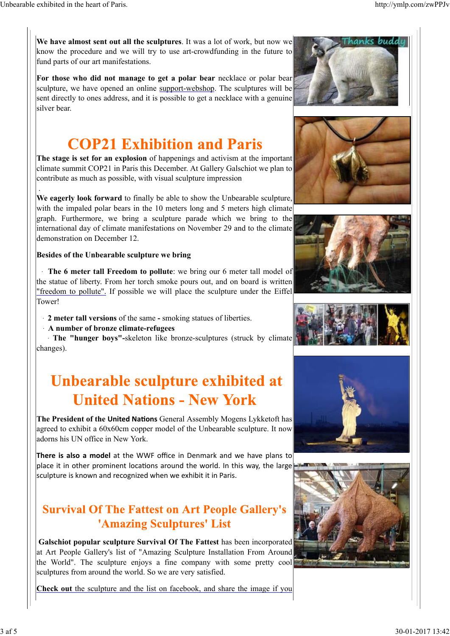.

**We have almost sent out all the sculptures**. It was a lot of work, but now we know the procedure and we will try to use art-crowdfunding in the future to fund parts of our art manifestations.

**For those who did not manage to get a polar bear** necklace or polar bear sculpture, we have opened an online support-webshop. The sculptures will be sent directly to ones address, and it is possible to get a necklace with a genuine silver bear.

**The stage is set for an explosion** of happenings and activism at the important climate summit COP21 in Paris this December. At Gallery Galschiot we plan to contribute as much as possible, with visual sculpture impression

**We eagerly look forward** to finally be able to show the Unbearable sculpture, with the impaled polar bears in the 10 meters long and 5 meters high climate graph. Furthermore, we bring a sculpture parade which we bring to the international day of climate manifestations on November 29 and to the climate demonstration on December 12 .

#### **Besides of the Unbearable sculpture we bring**

The 6 meter tall Freedom to pollute: we bring our 6 meter tall model of the statue of liberty. From her torch smoke pours out, and on board is written "freedom to pollute". If possible we will place the sculpture under the Eiffel Tower!

- · **2 meter tall versions** of the same smoking statues of liberties.
- · **A number of bronze climate-refugees**

 · **The "hunger boys"-**skeleton like bronze-sculptures (struck by climate changes).

# Unbearable sculpture exhibited at **United Nations - New York**

**The President of the United Nations** General Assembly Mogens Lykketoft has agreed to exhibit a 60x60cm copper model of the Unbearable sculpture. It now adorns his UN office in New York.

**There is also a model** at the WWF office in Denmark and we have plans to place it in other prominent locations around the world. In this way, the large sculpture is known and recognized when we exhibit it in Paris.

## **Survival Of The Fattest on Art People Gallery's** 'Amazing Sculptures' List

**Galschiot popular sculpture Survival Of The Fattest** has been incorporated at Art People Gallery's list of "Amazing Sculpture Installation From Around the World". The sculpture enjoys a fine company with some pretty cool sculptures from around the world. So we are very satisfied.

**Check out** the sculpture and the list on facebook, and share the image if you











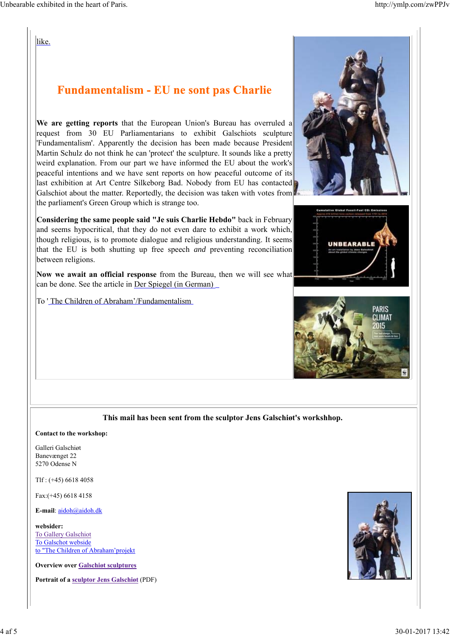like.

### **Fundamentalism - EU ne sont pas Charlie**

**We are getting reports** that the European Union's Bureau has overruled a request from 30 EU Parliamentarians to exhibit Galschiots sculpture 'Fundamentalism'. Apparently the decision has been made because President Martin Schulz do not think he can 'protect' the sculpture. It sounds like a pretty weird explanation. From our part we have informed the EU about the work's peaceful intentions and we have sent reports on how peaceful outcome of its last exhibition at Art Centre Silkeborg Bad. Nobody from EU has contacted Galschiot about the matter. Reportedly, the decision was taken with votes from the parliament's Green Group which is strange too.

**Considering the same people said "Je suis Charlie Hebdo"** back in February and seems hypocritical, that they do not even dare to exhibit a work which, though religious, is to promote dialogue and religious understanding. It seems that the EU is both shutting up free speech *and* preventing reconciliation between religions.

**Now we await an official response** from the Bureau, then we will see what can be done. See the article in Der Spiegel (in German)

To 'The Children of Abraham'/Fundamentalism







#### **This mail has been sent from the sculptor Jens Galschiøt's workshhop.**

#### **Contact to the workshop:**

Galleri Galschiøt Banevænget 22 5270 Odense N

Tlf : (+45) 6618 4058

Fax:(+45) 6618 4158

**E-mail**: aidoh@aidoh.dk

**websider:** To Gallery Galschiot To Galschot webside to "The Children of Abraham'projekt

**Overview over Galschiøt sculptures**

**Portrait of a sculptor Jens Galschiøt** (PDF)